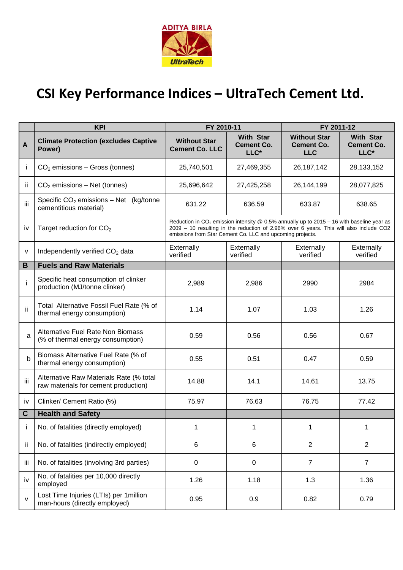

## **CSI Key Performance Indices – UltraTech Cement Ltd.**

|              | <b>KPI</b>                                                                      | FY 2010-11                                                                                                                                                                                                                                                   |                                               | FY 2011-12                                             |                                               |  |  |
|--------------|---------------------------------------------------------------------------------|--------------------------------------------------------------------------------------------------------------------------------------------------------------------------------------------------------------------------------------------------------------|-----------------------------------------------|--------------------------------------------------------|-----------------------------------------------|--|--|
| A            | <b>Climate Protection (excludes Captive</b><br>Power)                           | <b>Without Star</b><br><b>Cement Co. LLC</b>                                                                                                                                                                                                                 | <b>With Star</b><br><b>Cement Co.</b><br>LLC* | <b>Without Star</b><br><b>Cement Co.</b><br><b>LLC</b> | <b>With Star</b><br><b>Cement Co.</b><br>LLC* |  |  |
|              | $CO2$ emissions – Gross (tonnes)                                                | 25,740,501                                                                                                                                                                                                                                                   | 27,469,355                                    | 26, 187, 142                                           | 28, 133, 152                                  |  |  |
| ii           | $CO2$ emissions – Net (tonnes)                                                  | 25,696,642                                                                                                                                                                                                                                                   | 27,425,258                                    | 26,144,199                                             | 28,077,825                                    |  |  |
| Ϊİ           | Specific $CO2$ emissions – Net (kg/tonne<br>cementitious material)              | 631.22                                                                                                                                                                                                                                                       | 636.59                                        | 633.87                                                 | 638.65                                        |  |  |
| iv           | Target reduction for CO <sub>2</sub>                                            | Reduction in CO <sub>2</sub> emission intensity @ 0.5% annually up to 2015 - 16 with baseline year as<br>2009 - 10 resulting in the reduction of 2.96% over 6 years. This will also include CO2<br>emissions from Star Cement Co. LLC and upcoming projects. |                                               |                                                        |                                               |  |  |
| v            | Independently verified CO <sub>2</sub> data                                     | Externally<br>verified                                                                                                                                                                                                                                       | Externally<br>verified                        | Externally<br>verified                                 | Externally<br>verified                        |  |  |
| B            | <b>Fuels and Raw Materials</b>                                                  |                                                                                                                                                                                                                                                              |                                               |                                                        |                                               |  |  |
|              | Specific heat consumption of clinker<br>production (MJ/tonne clinker)           | 2,989                                                                                                                                                                                                                                                        | 2,986                                         | 2990                                                   | 2984                                          |  |  |
| ii           | Total Alternative Fossil Fuel Rate (% of<br>thermal energy consumption)         | 1.14                                                                                                                                                                                                                                                         | 1.07                                          | 1.03                                                   | 1.26                                          |  |  |
| a            | Alternative Fuel Rate Non Biomass<br>(% of thermal energy consumption)          | 0.59                                                                                                                                                                                                                                                         | 0.56                                          | 0.56                                                   | 0.67                                          |  |  |
| b            | Biomass Alternative Fuel Rate (% of<br>thermal energy consumption)              | 0.55                                                                                                                                                                                                                                                         | 0.51                                          | 0.47                                                   | 0.59                                          |  |  |
| iii          | Alternative Raw Materials Rate (% total<br>raw materials for cement production) | 14.88                                                                                                                                                                                                                                                        | 14.1                                          | 14.61                                                  | 13.75                                         |  |  |
| iv           | Clinker/ Cement Ratio (%)                                                       | 75.97                                                                                                                                                                                                                                                        | 76.63                                         | 76.75                                                  | 77.42                                         |  |  |
| $\mathbf C$  | <b>Health and Safety</b>                                                        |                                                                                                                                                                                                                                                              |                                               |                                                        |                                               |  |  |
| 1            | No. of fatalities (directly employed)                                           | 1                                                                                                                                                                                                                                                            | 1                                             | 1                                                      | 1                                             |  |  |
| ii           | No. of fatalities (indirectly employed)                                         | 6                                                                                                                                                                                                                                                            | 6                                             | $\overline{2}$                                         | $\overline{2}$                                |  |  |
| iii          | No. of fatalities (involving 3rd parties)                                       | 0                                                                                                                                                                                                                                                            | $\pmb{0}$                                     | $\overline{7}$                                         | $\overline{7}$                                |  |  |
| iv           | No. of fatalities per 10,000 directly<br>employed                               | 1.26                                                                                                                                                                                                                                                         | 1.18                                          | 1.3                                                    | 1.36                                          |  |  |
| $\mathsf{v}$ | Lost Time Injuries (LTIs) per 1 million<br>man-hours (directly employed)        | 0.95                                                                                                                                                                                                                                                         | 0.9                                           | 0.82                                                   | 0.79                                          |  |  |